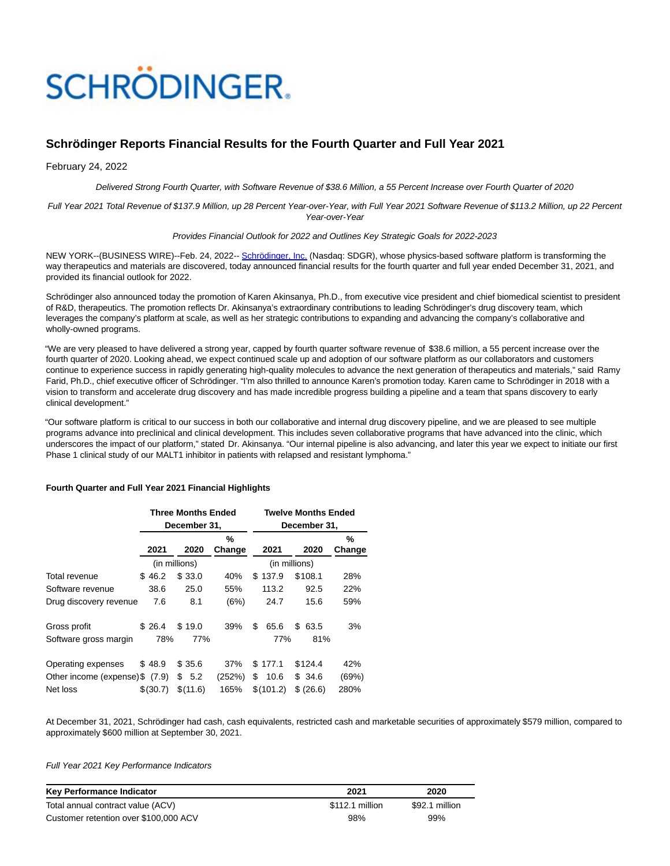# **SCHRÖDINGER.**

# **Schrödinger Reports Financial Results for the Fourth Quarter and Full Year 2021**

February 24, 2022

Delivered Strong Fourth Quarter, with Software Revenue of \$38.6 Million, a 55 Percent Increase over Fourth Quarter of 2020

Full Year 2021 Total Revenue of \$137.9 Million, up 28 Percent Year-over-Year, with Full Year 2021 Software Revenue of \$113.2 Million, up 22 Percent Year-over-Year

#### Provides Financial Outlook for 2022 and Outlines Key Strategic Goals for 2022-2023

NEW YORK--(BUSINESS WIRE)--Feb. 24, 2022-- [Schrödinger, Inc. \(](https://cts.businesswire.com/ct/CT?id=smartlink&url=http%3A%2F%2Fwww.schrodinger.com%2F&esheet=52584589&newsitemid=20220224005188&lan=en-US&anchor=Schr%26ouml%3Bdinger%2C+Inc.&index=1&md5=c7305a9305be1822d46bc2e053c4734e)Nasdaq: SDGR), whose physics-based software platform is transforming the way therapeutics and materials are discovered, today announced financial results for the fourth quarter and full year ended December 31, 2021, and provided its financial outlook for 2022.

Schrödinger also announced today the promotion of Karen Akinsanya, Ph.D., from executive vice president and chief biomedical scientist to president of R&D, therapeutics. The promotion reflects Dr. Akinsanya's extraordinary contributions to leading Schrödinger's drug discovery team, which leverages the company's platform at scale, as well as her strategic contributions to expanding and advancing the company's collaborative and wholly-owned programs.

"We are very pleased to have delivered a strong year, capped by fourth quarter software revenue of \$38.6 million, a 55 percent increase over the fourth quarter of 2020. Looking ahead, we expect continued scale up and adoption of our software platform as our collaborators and customers continue to experience success in rapidly generating high-quality molecules to advance the next generation of therapeutics and materials," said Ramy Farid, Ph.D., chief executive officer of Schrödinger. "I'm also thrilled to announce Karen's promotion today. Karen came to Schrödinger in 2018 with a vision to transform and accelerate drug discovery and has made incredible progress building a pipeline and a team that spans discovery to early clinical development."

"Our software platform is critical to our success in both our collaborative and internal drug discovery pipeline, and we are pleased to see multiple programs advance into preclinical and clinical development. This includes seven collaborative programs that have advanced into the clinic, which underscores the impact of our platform," stated Dr. Akinsanya. "Our internal pipeline is also advancing, and later this year we expect to initiate our first Phase 1 clinical study of our MALT1 inhibitor in patients with relapsed and resistant lymphoma."

#### **Fourth Quarter and Full Year 2021 Financial Highlights**

|                                 | <b>Three Months Ended</b><br>December 31, |               |  |          |        | <b>Twelve Months Ended</b><br>December 31, |               |  |           |        |  |  |
|---------------------------------|-------------------------------------------|---------------|--|----------|--------|--------------------------------------------|---------------|--|-----------|--------|--|--|
|                                 |                                           |               |  |          |        |                                            |               |  |           |        |  |  |
|                                 |                                           |               |  |          | %      |                                            |               |  |           | %      |  |  |
|                                 |                                           | 2021          |  | 2020     | Change |                                            | 2021          |  | 2020      | Change |  |  |
|                                 |                                           | (in millions) |  |          |        |                                            | (in millions) |  |           |        |  |  |
| Total revenue                   |                                           | \$46.2        |  | \$33.0   | 40%    |                                            | \$137.9       |  | \$108.1   | 28%    |  |  |
| Software revenue                |                                           | 38.6          |  | 25.0     | 55%    |                                            | 113.2         |  | 92.5      | 22%    |  |  |
| Drug discovery revenue          |                                           | 7.6           |  | 8.1      | (6%)   |                                            | 24.7          |  | 15.6      | 59%    |  |  |
| Gross profit                    |                                           | \$26.4        |  | \$19.0   | 39%    | \$                                         | 65.6          |  | \$63.5    | 3%     |  |  |
| Software gross margin           |                                           | 78%           |  | 77%      |        |                                            | 77%           |  | 81%       |        |  |  |
| Operating expenses              |                                           | \$48.9        |  | \$35.6   | 37%    |                                            | \$177.1       |  | \$124.4   | 42%    |  |  |
| Other income (expense) \$ (7.9) |                                           |               |  | \$5.2    | (252%) | \$                                         | 10.6          |  | \$ 34.6   | (69%)  |  |  |
| Net loss                        |                                           | \$(30.7)      |  | \$(11.6) | 165%   |                                            | \$(101.2)     |  | \$ (26.6) | 280%   |  |  |

At December 31, 2021, Schrödinger had cash, cash equivalents, restricted cash and marketable securities of approximately \$579 million, compared to approximately \$600 million at September 30, 2021.

Full Year 2021 Key Performance Indicators

| Key Performance Indicator             | 2021            | 2020           |
|---------------------------------------|-----------------|----------------|
| Total annual contract value (ACV)     | \$112.1 million | \$92.1 million |
| Customer retention over \$100,000 ACV | 98%             | 99%            |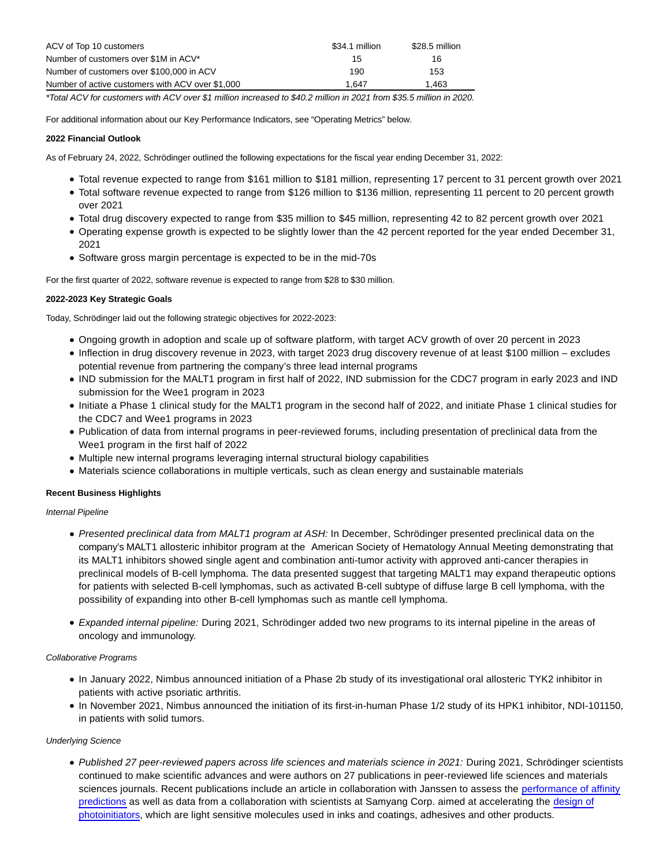| ACV of Top 10 customers                          | \$34.1 million | \$28.5 million |
|--------------------------------------------------|----------------|----------------|
| Number of customers over \$1M in ACV*            | 15             | 16             |
| Number of customers over \$100,000 in ACV        | 190            | 153            |
| Number of active customers with ACV over \$1,000 | 1.647          | 1.463          |

\*Total ACV for customers with ACV over \$1 million increased to \$40.2 million in 2021 from \$35.5 million in 2020.

For additional information about our Key Performance Indicators, see "Operating Metrics" below.

# **2022 Financial Outlook**

As of February 24, 2022, Schrödinger outlined the following expectations for the fiscal year ending December 31, 2022:

- Total revenue expected to range from \$161 million to \$181 million, representing 17 percent to 31 percent growth over 2021
- Total software revenue expected to range from \$126 million to \$136 million, representing 11 percent to 20 percent growth over 2021
- Total drug discovery expected to range from \$35 million to \$45 million, representing 42 to 82 percent growth over 2021
- Operating expense growth is expected to be slightly lower than the 42 percent reported for the year ended December 31, 2021
- Software gross margin percentage is expected to be in the mid-70s

For the first quarter of 2022, software revenue is expected to range from \$28 to \$30 million.

# **2022-2023 Key Strategic Goals**

Today, Schrödinger laid out the following strategic objectives for 2022-2023:

- Ongoing growth in adoption and scale up of software platform, with target ACV growth of over 20 percent in 2023
- Inflection in drug discovery revenue in 2023, with target 2023 drug discovery revenue of at least \$100 million excludes potential revenue from partnering the company's three lead internal programs
- IND submission for the MALT1 program in first half of 2022, IND submission for the CDC7 program in early 2023 and IND submission for the Wee1 program in 2023
- Initiate a Phase 1 clinical study for the MALT1 program in the second half of 2022, and initiate Phase 1 clinical studies for the CDC7 and Wee1 programs in 2023
- Publication of data from internal programs in peer-reviewed forums, including presentation of preclinical data from the Wee1 program in the first half of 2022
- Multiple new internal programs leveraging internal structural biology capabilities
- Materials science collaborations in multiple verticals, such as clean energy and sustainable materials

# **Recent Business Highlights**

# Internal Pipeline

- Presented preclinical data from MALT1 program at ASH: In December, Schrödinger presented preclinical data on the company's MALT1 allosteric inhibitor program at the American Society of Hematology Annual Meeting demonstrating that its MALT1 inhibitors showed single agent and combination anti-tumor activity with approved anti-cancer therapies in preclinical models of B-cell lymphoma. The data presented suggest that targeting MALT1 may expand therapeutic options for patients with selected B-cell lymphomas, such as activated B-cell subtype of diffuse large B cell lymphoma, with the possibility of expanding into other B-cell lymphomas such as mantle cell lymphoma.
- Expanded internal pipeline: During 2021, Schrödinger added two new programs to its internal pipeline in the areas of oncology and immunology.

# Collaborative Programs

- In January 2022, Nimbus announced initiation of a Phase 2b study of its investigational oral allosteric TYK2 inhibitor in patients with active psoriatic arthritis.
- In November 2021, Nimbus announced the initiation of its first-in-human Phase 1/2 study of its HPK1 inhibitor, NDI-101150, in patients with solid tumors.

#### Underlying Science

Published 27 peer-reviewed papers across life sciences and materials science in 2021: During 2021, Schrödinger scientists continued to make scientific advances and were authors on 27 publications in peer-reviewed life sciences and materials sciences journals. Recent publications include an article in collaboration with Janssen to assess the [performance of affinity](https://cts.businesswire.com/ct/CT?id=smartlink&url=https%3A%2F%2Fpubs.acs.org%2Fdoi%2F10.1021%2Facs.jcim.1c01214&esheet=52584589&newsitemid=20220224005188&lan=en-US&anchor=performance+of+affinity+predictions&index=2&md5=f2deaaed29136bc242cde2f711a410fe) predictions as well as data from a collaboration with scientists at Samyang Corp. aimed at accelerating the [design of](https://cts.businesswire.com/ct/CT?id=smartlink&url=https%3A%2F%2Fpubs.acs.org%2Fdoi%2Fabs%2F10.1021%2Facs.chemmater.1c02871&esheet=52584589&newsitemid=20220224005188&lan=en-US&anchor=design+of+photoinitiators&index=3&md5=38499f60831375561cc088187be4408d) photoinitiators, which are light sensitive molecules used in inks and coatings, adhesives and other products.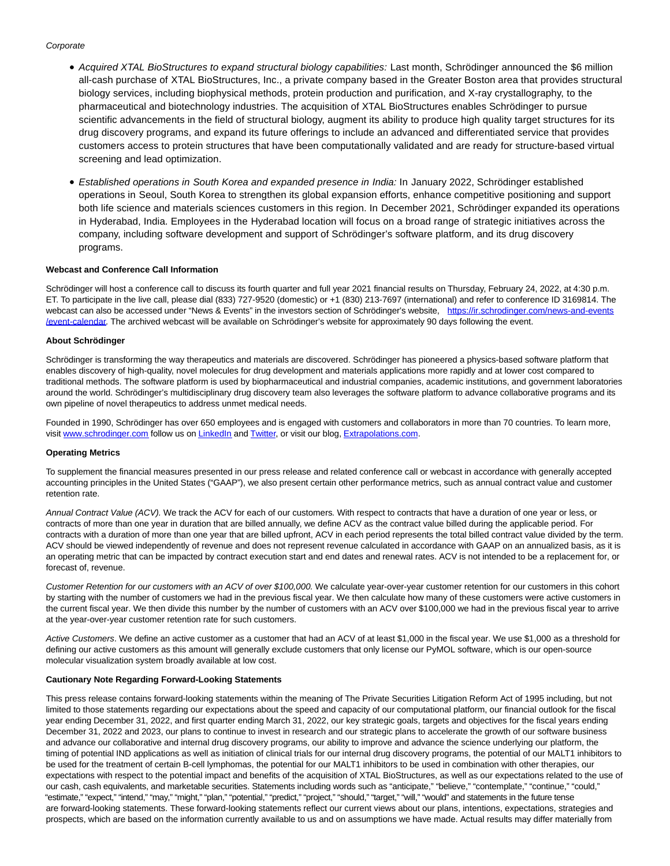#### **Corporate**

- Acquired XTAL BioStructures to expand structural biology capabilities: Last month, Schrödinger announced the \$6 million all-cash purchase of XTAL BioStructures, Inc., a private company based in the Greater Boston area that provides structural biology services, including biophysical methods, protein production and purification, and X-ray crystallography, to the pharmaceutical and biotechnology industries. The acquisition of XTAL BioStructures enables Schrödinger to pursue scientific advancements in the field of structural biology, augment its ability to produce high quality target structures for its drug discovery programs, and expand its future offerings to include an advanced and differentiated service that provides customers access to protein structures that have been computationally validated and are ready for structure-based virtual screening and lead optimization.
- Established operations in South Korea and expanded presence in India: In January 2022, Schrödinger established operations in Seoul, South Korea to strengthen its global expansion efforts, enhance competitive positioning and support both life science and materials sciences customers in this region. In December 2021, Schrödinger expanded its operations in Hyderabad, India. Employees in the Hyderabad location will focus on a broad range of strategic initiatives across the company, including software development and support of Schrödinger's software platform, and its drug discovery programs.

#### **Webcast and Conference Call Information**

Schrödinger will host a conference call to discuss its fourth quarter and full year 2021 financial results on Thursday, February 24, 2022, at 4:30 p.m. ET. To participate in the live call, please dial (833) 727-9520 (domestic) or +1 (830) 213-7697 (international) and refer to conference ID 3169814. The webcast can also be accessed under "News & Events" in the investors section of Schrödinger's website, [https://ir.schrodinger.com/news-and-events](https://cts.businesswire.com/ct/CT?id=smartlink&url=https%3A%2F%2Fir.schrodinger.com%2Fnews-and-events%2Fevent-calendar&esheet=52584589&newsitemid=20220224005188&lan=en-US&anchor=https%3A%2F%2Fir.schrodinger.com%2Fnews-and-events%2Fevent-calendar&index=4&md5=2fe1d8cdaf915be54545adb365774a96) /event-calendar. The archived webcast will be available on Schrödinger's website for approximately 90 days following the event.

#### **About Schrödinger**

Schrödinger is transforming the way therapeutics and materials are discovered. Schrödinger has pioneered a physics-based software platform that enables discovery of high-quality, novel molecules for drug development and materials applications more rapidly and at lower cost compared to traditional methods. The software platform is used by biopharmaceutical and industrial companies, academic institutions, and government laboratories around the world. Schrödinger's multidisciplinary drug discovery team also leverages the software platform to advance collaborative programs and its own pipeline of novel therapeutics to address unmet medical needs.

Founded in 1990, Schrödinger has over 650 employees and is engaged with customers and collaborators in more than 70 countries. To learn more, visit [www.schrodinger.com f](https://cts.businesswire.com/ct/CT?id=smartlink&url=http%3A%2F%2Fwww.schrodinger.com&esheet=52584589&newsitemid=20220224005188&lan=en-US&anchor=www.schrodinger.com&index=5&md5=563e680233b72d1175527c620d18d1b1)ollow us o[n LinkedIn a](https://cts.businesswire.com/ct/CT?id=smartlink&url=https%3A%2F%2Fwww.linkedin.com%2Fcompany%2Fschr-dinger%2F&esheet=52584589&newsitemid=20220224005188&lan=en-US&anchor=LinkedIn&index=6&md5=b9e5992f6c861c75eb6df49e36ade820)n[d Twitter,](https://cts.businesswire.com/ct/CT?id=smartlink&url=https%3A%2F%2Ftwitter.com%2Fschrodinger&esheet=52584589&newsitemid=20220224005188&lan=en-US&anchor=Twitter&index=7&md5=54ce5a6760b0aa1e0ed8a5250ee855b2) or visit our blog[, Extrapolations.com.](https://cts.businesswire.com/ct/CT?id=smartlink&url=http%3A%2F%2Fwww.extrapolations.com&esheet=52584589&newsitemid=20220224005188&lan=en-US&anchor=Extrapolations.com&index=8&md5=7a91897a2e1f0cf445c7c92db391a988)

#### **Operating Metrics**

To supplement the financial measures presented in our press release and related conference call or webcast in accordance with generally accepted accounting principles in the United States ("GAAP"), we also present certain other performance metrics, such as annual contract value and customer retention rate.

Annual Contract Value (ACV). We track the ACV for each of our customers. With respect to contracts that have a duration of one year or less, or contracts of more than one year in duration that are billed annually, we define ACV as the contract value billed during the applicable period. For contracts with a duration of more than one year that are billed upfront, ACV in each period represents the total billed contract value divided by the term. ACV should be viewed independently of revenue and does not represent revenue calculated in accordance with GAAP on an annualized basis, as it is an operating metric that can be impacted by contract execution start and end dates and renewal rates. ACV is not intended to be a replacement for, or forecast of, revenue.

Customer Retention for our customers with an ACV of over \$100,000. We calculate year-over-year customer retention for our customers in this cohort by starting with the number of customers we had in the previous fiscal year. We then calculate how many of these customers were active customers in the current fiscal year. We then divide this number by the number of customers with an ACV over \$100,000 we had in the previous fiscal year to arrive at the year-over-year customer retention rate for such customers.

Active Customers. We define an active customer as a customer that had an ACV of at least \$1,000 in the fiscal year. We use \$1,000 as a threshold for defining our active customers as this amount will generally exclude customers that only license our PyMOL software, which is our open-source molecular visualization system broadly available at low cost.

#### **Cautionary Note Regarding Forward-Looking Statements**

This press release contains forward-looking statements within the meaning of The Private Securities Litigation Reform Act of 1995 including, but not limited to those statements regarding our expectations about the speed and capacity of our computational platform, our financial outlook for the fiscal year ending December 31, 2022, and first quarter ending March 31, 2022, our key strategic goals, targets and objectives for the fiscal years ending December 31, 2022 and 2023, our plans to continue to invest in research and our strategic plans to accelerate the growth of our software business and advance our collaborative and internal drug discovery programs, our ability to improve and advance the science underlying our platform, the timing of potential IND applications as well as initiation of clinical trials for our internal drug discovery programs, the potential of our MALT1 inhibitors to be used for the treatment of certain B-cell lymphomas, the potential for our MALT1 inhibitors to be used in combination with other therapies, our expectations with respect to the potential impact and benefits of the acquisition of XTAL BioStructures, as well as our expectations related to the use of our cash, cash equivalents, and marketable securities. Statements including words such as "anticipate," "believe," "contemplate," "continue," "could," "estimate," "expect," "intend," "may," "might," "plan," "potential," "predict," "project," "should," "target," "will," "would" and statements in the future tense are forward-looking statements. These forward-looking statements reflect our current views about our plans, intentions, expectations, strategies and prospects, which are based on the information currently available to us and on assumptions we have made. Actual results may differ materially from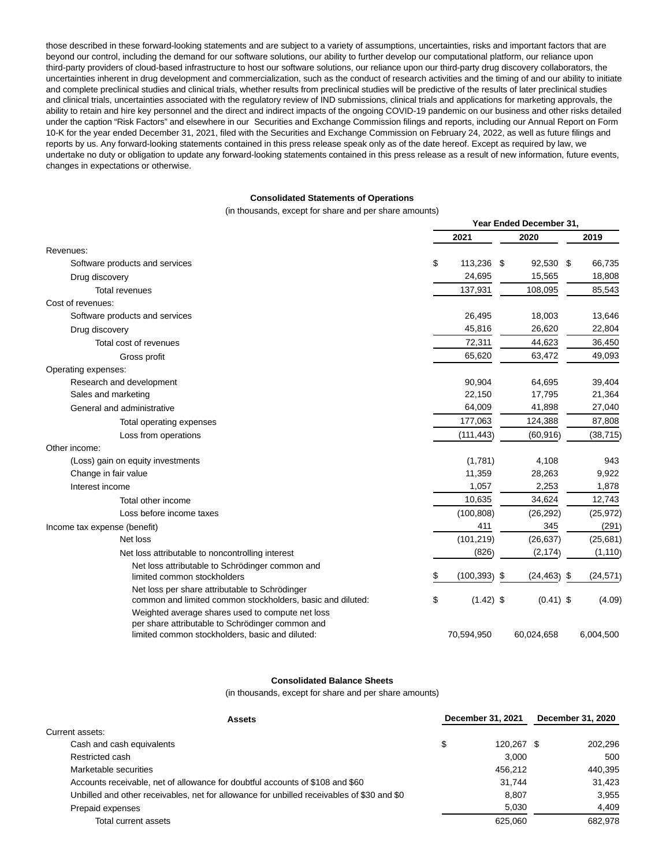those described in these forward-looking statements and are subject to a variety of assumptions, uncertainties, risks and important factors that are beyond our control, including the demand for our software solutions, our ability to further develop our computational platform, our reliance upon third-party providers of cloud-based infrastructure to host our software solutions, our reliance upon our third-party drug discovery collaborators, the uncertainties inherent in drug development and commercialization, such as the conduct of research activities and the timing of and our ability to initiate and complete preclinical studies and clinical trials, whether results from preclinical studies will be predictive of the results of later preclinical studies and clinical trials, uncertainties associated with the regulatory review of IND submissions, clinical trials and applications for marketing approvals, the ability to retain and hire key personnel and the direct and indirect impacts of the ongoing COVID-19 pandemic on our business and other risks detailed under the caption "Risk Factors" and elsewhere in our Securities and Exchange Commission filings and reports, including our Annual Report on Form 10-K for the year ended December 31, 2021, filed with the Securities and Exchange Commission on February 24, 2022, as well as future filings and reports by us. Any forward-looking statements contained in this press release speak only as of the date hereof. Except as required by law, we undertake no duty or obligation to update any forward-looking statements contained in this press release as a result of new information, future events, changes in expectations or otherwise.

#### **Consolidated Statements of Operations**

(in thousands, except for share and per share amounts)

|                                                                                                     | Year Ended December 31, |                 |  |                |  |           |
|-----------------------------------------------------------------------------------------------------|-------------------------|-----------------|--|----------------|--|-----------|
|                                                                                                     |                         | 2021            |  | 2020           |  | 2019      |
| Revenues:                                                                                           |                         |                 |  |                |  |           |
| Software products and services                                                                      | \$                      | 113,236 \$      |  | 92,530 \$      |  | 66,735    |
| Drug discovery                                                                                      |                         | 24,695          |  | 15,565         |  | 18,808    |
| <b>Total revenues</b>                                                                               |                         | 137,931         |  | 108,095        |  | 85,543    |
| Cost of revenues:                                                                                   |                         |                 |  |                |  |           |
| Software products and services                                                                      |                         | 26,495          |  | 18,003         |  | 13,646    |
| Drug discovery                                                                                      |                         | 45,816          |  | 26,620         |  | 22,804    |
| Total cost of revenues                                                                              |                         | 72,311          |  | 44,623         |  | 36,450    |
| Gross profit                                                                                        |                         | 65,620          |  | 63,472         |  | 49,093    |
| Operating expenses:                                                                                 |                         |                 |  |                |  |           |
| Research and development                                                                            |                         | 90,904          |  | 64,695         |  | 39,404    |
| Sales and marketing                                                                                 |                         | 22,150          |  | 17,795         |  | 21,364    |
| General and administrative                                                                          |                         | 64,009          |  | 41,898         |  | 27,040    |
| Total operating expenses                                                                            |                         | 177,063         |  | 124,388        |  | 87,808    |
| Loss from operations                                                                                |                         | (111, 443)      |  | (60, 916)      |  | (38, 715) |
| Other income:                                                                                       |                         |                 |  |                |  |           |
| (Loss) gain on equity investments                                                                   |                         | (1,781)         |  | 4,108          |  | 943       |
| Change in fair value                                                                                |                         | 11,359          |  | 28,263         |  | 9,922     |
| Interest income                                                                                     |                         | 1,057           |  | 2,253          |  | 1,878     |
| Total other income                                                                                  |                         | 10,635          |  | 34,624         |  | 12,743    |
| Loss before income taxes                                                                            |                         | (100, 808)      |  | (26, 292)      |  | (25, 972) |
| Income tax expense (benefit)                                                                        |                         | 411             |  | 345            |  | (291)     |
| Net loss                                                                                            |                         | (101, 219)      |  | (26, 637)      |  | (25,681)  |
| Net loss attributable to noncontrolling interest                                                    |                         | (826)           |  | (2, 174)       |  | (1, 110)  |
| Net loss attributable to Schrödinger common and                                                     |                         |                 |  |                |  |           |
| limited common stockholders                                                                         | \$                      | $(100, 393)$ \$ |  | $(24, 463)$ \$ |  | (24, 571) |
| Net loss per share attributable to Schrödinger                                                      |                         |                 |  |                |  |           |
| common and limited common stockholders, basic and diluted:                                          | \$                      | $(1.42)$ \$     |  | $(0.41)$ \$    |  | (4.09)    |
| Weighted average shares used to compute net loss                                                    |                         |                 |  |                |  |           |
| per share attributable to Schrödinger common and<br>limited common stockholders, basic and diluted: |                         | 70,594,950      |  | 60,024,658     |  | 6,004,500 |
|                                                                                                     |                         |                 |  |                |  |           |

#### **Consolidated Balance Sheets**

(in thousands, except for share and per share amounts)

| <b>Assets</b>                                                                              |    | December 31, 2021 | December 31, 2020 |         |  |
|--------------------------------------------------------------------------------------------|----|-------------------|-------------------|---------|--|
| Current assets:                                                                            |    |                   |                   |         |  |
| Cash and cash equivalents                                                                  | \$ | 120.267 \$        |                   | 202,296 |  |
| Restricted cash                                                                            |    | 3.000             |                   | 500     |  |
| Marketable securities                                                                      |    | 456.212           |                   | 440.395 |  |
| Accounts receivable, net of allowance for doubtful accounts of \$108 and \$60              |    | 31.744            |                   | 31,423  |  |
| Unbilled and other receivables, net for allowance for unbilled receivables of \$30 and \$0 |    | 8.807             |                   | 3.955   |  |
| Prepaid expenses                                                                           |    | 5.030             |                   | 4.409   |  |
| Total current assets                                                                       |    | 625.060           |                   | 682.978 |  |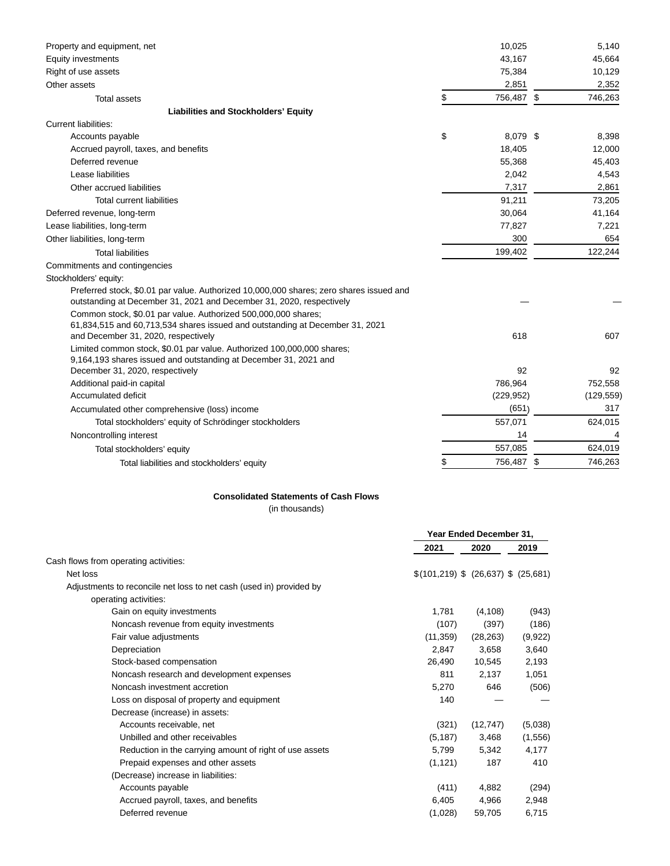| Property and equipment, net                                                                                                                                                           | 10,025           | 5,140      |
|---------------------------------------------------------------------------------------------------------------------------------------------------------------------------------------|------------------|------------|
| Equity investments                                                                                                                                                                    | 43,167           | 45,664     |
| Right of use assets                                                                                                                                                                   | 75,384           | 10,129     |
| Other assets                                                                                                                                                                          | 2,851            | 2,352      |
| <b>Total assets</b>                                                                                                                                                                   | \$<br>756,487 \$ | 746,263    |
| <b>Liabilities and Stockholders' Equity</b>                                                                                                                                           |                  |            |
| <b>Current liabilities:</b>                                                                                                                                                           |                  |            |
| Accounts payable                                                                                                                                                                      | \$<br>8,079 \$   | 8,398      |
| Accrued payroll, taxes, and benefits                                                                                                                                                  | 18,405           | 12,000     |
| Deferred revenue                                                                                                                                                                      | 55,368           | 45,403     |
| Lease liabilities                                                                                                                                                                     | 2,042            | 4,543      |
| Other accrued liabilities                                                                                                                                                             | 7,317            | 2,861      |
| <b>Total current liabilities</b>                                                                                                                                                      | 91,211           | 73,205     |
| Deferred revenue, long-term                                                                                                                                                           | 30,064           | 41,164     |
| Lease liabilities, long-term                                                                                                                                                          | 77,827           | 7,221      |
| Other liabilities, long-term                                                                                                                                                          | 300              | 654        |
| <b>Total liabilities</b>                                                                                                                                                              | 199,402          | 122,244    |
| Commitments and contingencies                                                                                                                                                         |                  |            |
| Stockholders' equity:                                                                                                                                                                 |                  |            |
| Preferred stock, \$0.01 par value. Authorized 10,000,000 shares; zero shares issued and<br>outstanding at December 31, 2021 and December 31, 2020, respectively                       |                  |            |
| Common stock, \$0.01 par value. Authorized 500,000,000 shares;<br>61,834,515 and 60,713,534 shares issued and outstanding at December 31, 2021<br>and December 31, 2020, respectively | 618              | 607        |
| Limited common stock, \$0.01 par value. Authorized 100,000,000 shares;<br>9,164,193 shares issued and outstanding at December 31, 2021 and                                            |                  |            |
| December 31, 2020, respectively                                                                                                                                                       | 92               | 92         |
| Additional paid-in capital                                                                                                                                                            | 786,964          | 752,558    |
| Accumulated deficit                                                                                                                                                                   | (229, 952)       | (129, 559) |
| Accumulated other comprehensive (loss) income                                                                                                                                         | (651)            | 317        |
| Total stockholders' equity of Schrödinger stockholders                                                                                                                                | 557,071          | 624,015    |
| Noncontrolling interest                                                                                                                                                               | 14               | 4          |
| Total stockholders' equity                                                                                                                                                            | 557,085          | 624,019    |
| Total liabilities and stockholders' equity                                                                                                                                            | 756,487 \$       | 746,263    |

### **Consolidated Statements of Cash Flows**

(in thousands)

|                                                                     | Year Ended December 31,              |           |         |
|---------------------------------------------------------------------|--------------------------------------|-----------|---------|
|                                                                     | 2021                                 | 2020      | 2019    |
| Cash flows from operating activities:                               |                                      |           |         |
| Net loss                                                            | $$(101,219)$ \$ (26,637) \$ (25,681) |           |         |
| Adjustments to reconcile net loss to net cash (used in) provided by |                                      |           |         |
| operating activities:                                               |                                      |           |         |
| Gain on equity investments                                          | 1,781                                | (4, 108)  | (943)   |
| Noncash revenue from equity investments                             | (107)                                | (397)     | (186)   |
| Fair value adjustments                                              | (11, 359)                            | (28, 263) | (9,922) |
| Depreciation                                                        | 2,847                                | 3,658     | 3,640   |
| Stock-based compensation                                            | 26,490                               | 10,545    | 2,193   |
| Noncash research and development expenses                           | 811                                  | 2,137     | 1.051   |
| Noncash investment accretion                                        | 5,270                                | 646       | (506)   |
| Loss on disposal of property and equipment                          | 140                                  |           |         |
| Decrease (increase) in assets:                                      |                                      |           |         |
| Accounts receivable, net                                            | (321)                                | (12, 747) | (5,038) |
| Unbilled and other receivables                                      | (5, 187)                             | 3,468     | (1,556) |
| Reduction in the carrying amount of right of use assets             | 5.799                                | 5.342     | 4.177   |
| Prepaid expenses and other assets                                   | (1, 121)                             | 187       | 410     |
| (Decrease) increase in liabilities:                                 |                                      |           |         |
| Accounts payable                                                    | (411)                                | 4,882     | (294)   |
| Accrued payroll, taxes, and benefits                                | 6,405                                | 4,966     | 2,948   |
| Deferred revenue                                                    | (1,028)                              | 59,705    | 6,715   |
|                                                                     |                                      |           |         |